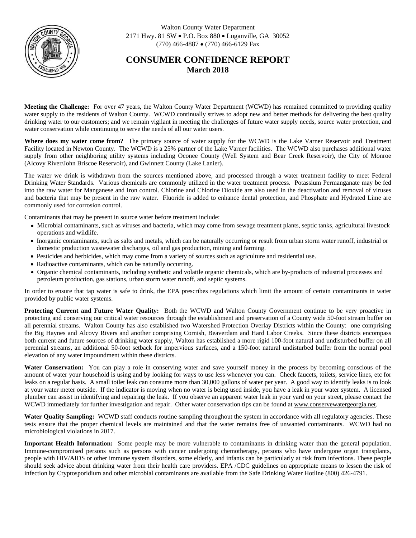

Walton County Water Department 2171 Hwy. 81 SW · P.O. Box 880 · Loganville, GA 30052  $(770)$  466-4887 • (770) 466-6129 Fax

## **CONSUMER CONFIDENCE REPORT March 2018**

**Meeting the Challenge:** For over 47 years, the Walton County Water Department (WCWD) has remained committed to providing quality water supply to the residents of Walton County. WCWD continually strives to adopt new and better methods for delivering the best quality drinking water to our customers; and we remain vigilant in meeting the challenges of future water supply needs, source water protection, and water conservation while continuing to serve the needs of all our water users.

**Where does my water come from?** The primary source of water supply for the WCWD is the Lake Varner Reservoir and Treatment Facility located in Newton County. The WCWD is a 25% partner of the Lake Varner facilities. The WCWD also purchases additional water supply from other neighboring utility systems including Oconee County (Well System and Bear Creek Reservoir), the City of Monroe (Alcovy River/John Briscoe Reservoir), and Gwinnett County (Lake Lanier).

The water we drink is withdrawn from the sources mentioned above, and processed through a water treatment facility to meet Federal Drinking Water Standards. Various chemicals are commonly utilized in the water treatment process. Potassium Permanganate may be fed into the raw water for Manganese and Iron control. Chlorine and Chlorine Dioxide are also used in the deactivation and removal of viruses and bacteria that may be present in the raw water. Fluoride is added to enhance dental protection, and Phosphate and Hydrated Lime are commonly used for corrosion control.

Contaminants that may be present in source water before treatment include:

- · Microbial contaminants, such as viruses and bacteria, which may come from sewage treatment plants, septic tanks, agricultural livestock operations and wildlife.
- · Inorganic contaminants, such as salts and metals, which can be naturally occurring or result from urban storm water runoff, industrial or domestic production wastewater discharges, oil and gas production, mining and farming.
- · Pesticides and herbicides, which may come from a variety of sources such as agriculture and residential use.
- Radioactive contaminants, which can be naturally occurring.
- · Organic chemical contaminants, including synthetic and volatile organic chemicals, which are by-products of industrial processes and petroleum production, gas stations, urban storm water runoff, and septic systems.

In order to ensure that tap water is safe to drink, the EPA prescribes regulations which limit the amount of certain contaminants in water provided by public water systems.

**Protecting Current and Future Water Quality:** Both the WCWD and Walton County Government continue to be very proactive in protecting and conserving our critical water resources through the establishment and preservation of a County wide 50-foot stream buffer on all perennial streams. Walton County has also established two Watershed Protection Overlay Districts within the County: one comprising the Big Haynes and Alcovy Rivers and another comprising Cornish, Beaverdam and Hard Labor Creeks. Since these districts encompass both current and future sources of drinking water supply, Walton has established a more rigid 100-foot natural and undisturbed buffer on all perennial streams, an additional 50-foot setback for impervious surfaces, and a 150-foot natural undisturbed buffer from the normal pool elevation of any water impoundment within these districts.

**Water Conservation:** You can play a role in conserving water and save yourself money in the process by becoming conscious of the amount of water your household is using and by looking for ways to use less whenever you can. Check faucets, toilets, service lines, etc for leaks on a regular basis. A small toilet leak can consume more than 30,000 gallons of water per year. A good way to identify leaks is to look at your water meter outside. If the indicator is moving when no water is being used inside, you have a leak in your water system. A licensed plumber can assist in identifying and repairing the leak. If you observe an apparent water leak in your yard on your street, please contact the WCWD immediately for further investigation and repair. Other water conservation tips can be found at [www.conservewatergeorgia.net](http://www.conservewatergeorgia.net).

**Water Quality Sampling:** WCWD staff conducts routine sampling throughout the system in accordance with all regulatory agencies. These tests ensure that the proper chemical levels are maintained and that the water remains free of unwanted contaminants. WCWD had no microbiological violations in 2017.

**Important Health Information:** Some people may be more vulnerable to contaminants in drinking water than the general population. Immune-compromised persons such as persons with cancer undergoing chemotherapy, persons who have undergone organ transplants, people with HIV/AIDS or other immune system disorders, some elderly, and infants can be particularly at risk from infections. These people should seek advice about drinking water from their health care providers. EPA /CDC guidelines on appropriate means to lessen the risk of infection by Cryptosporidium and other microbial contaminants are available from the Safe Drinking Water Hotline (800) 426-4791.